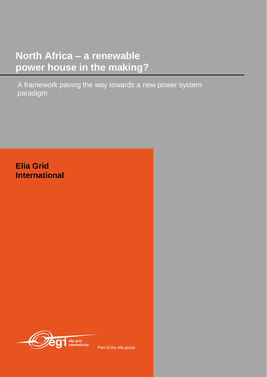# **North Africa – a renewable power house in the making?**

A framework paving the way towards a new power system paradigm

## **Elia Grid International**



Part of the elia group

ww.eliagrid-int.com 1999 and 1999 and 1999 and 1999 and 1999 and 1999 and 1999 and 1999 and 1999 and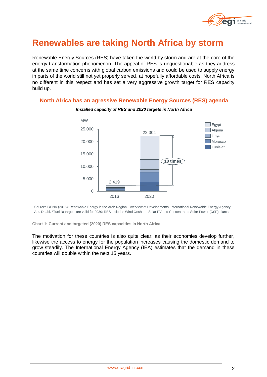

## **Renewables are taking North Africa by storm**

Renewable Energy Sources (RES) have taken the world by storm and are at the core of the energy transformation phenomenon. The appeal of RES is unquestionable as they address at the same time concerns with global carbon emissions and could be used to supply energy in parts of the world still not yet properly served, at hopefully affordable costs. North Africa is no different in this respect and has set a very aggressive growth target for RES capacity build up.

## **North Africa has an agressive Renewable Energy Sources (RES) agenda**



*Installed capacity of RES and 2020 targets in North Africa*

Source: IRENA (2016): Renewable Energy in the Arab Region. Overview of Developments, International Renewable Energy Agency, Abu Dhabi. \*Tunisia targets are valid for 2030; RES includes Wind Onshore, Solar PV and Concentrated Solar Power (CSP) plants

**Chart 1: Current and targeted (2020) RES capacities in North Africa**

The motivation for these countries is also quite clear: as their economies develop further, likewise the access to energy for the population increases causing the domestic demand to grow steadily. The International Energy Agency (IEA) estimates that the demand in these countries will double within the next 15 years.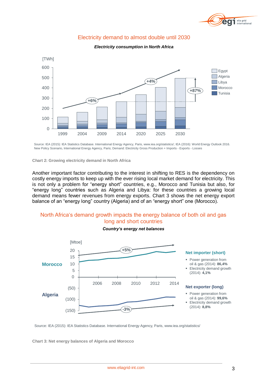

## Electricity demand to almost double until 2030



#### *Electricity consumption in North Africa*

Source: IEA (2015): IEA Statistics Database. International Energy Agency, Paris, www.iea.org/statistics/; IEA (2016): World Energy Outlook 2016. New Policy Scenario, International Energy Agency, Paris; Demand: Electricity Gross Production + Imports - Exports - Losses

**Chart 2: Growing electricity demand in North Africa**

**Chart 3: Net energy balances of Algeria and Morocco**

Another important factor contributing to the interest in shifting to RES is the dependency on costly energy imports to keep up with the ever rising local market demand for electricity. This is not only a problem for "energy short" countries, e.g., Morocco and Tunisia but also, for "energy long" countries such as Algeria and Libya: for these countries a growing local demand means fewer revenues from energy exports. Chart 3 shows the net energy export balance of an "energy long" country (Algeria) and of an "energy short" one (Morocco).

## North Africa's demand growth impacts the energy balance of both oil and gas long and short countries

*Country's energy net balances*



Source: IEA (2015): IEA Statistics Database. International Energy Agency, Paris, www.iea.org/statistics/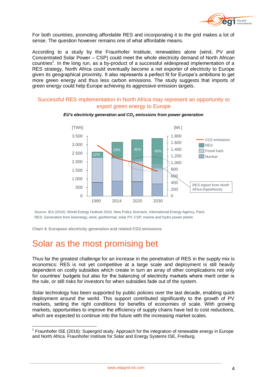

For both countries, promoting affordable RES and incorporating it to the grid makes a lot of sense. The question however remains one of what affordable means.

According to a study by the Fraunhofer Institute, renewables alone (wind, PV and Concentrated Solar Power – CSP) could meet the whole electricity demand of North African countries<sup>1</sup>. In the long run, as a by-product of a successful widespread implementation of a RES strategy, North Africa could eventually become a net exporter of electricity to Europe given its geographical proximity. It also represents a perfect fit for Europe's ambitions to get more green energy and thus less carbon emissions. The study suggests that imports of green energy could help Europe achieving its aggressive emission targets.

## Successful RES implementation in North Africa may represent an opportunity to export green energy to Europe



*EU's electricity generation and CO<sup>2</sup> emissions from power generation*

Source: IEA (2016): World Energy Outlook 2016. New Policy Scenario, International Energy Agency, Paris. RES: Generation from bioenergy, wind, geothermal, solar PV, CSP, marine and hydro power plants

**Chart 4: European electricity generation and related CO2 emissions**

## Solar as the most promising bet

-

Thus far the greatest challenge for an increase in the penetration of RES in the supply mix is economics: RES is not yet competitive at a large scale and deployment is still heavily dependent on costly subsidies which create in turn an array of other complications not only for countries' budgets but also for the balancing of electricity markets where merit order is the rule, or still risks for investors for when subsidies fade out of the system.

Solar technology has been supported by public policies over the last decade, enabling quick deployment around the world. This support contributed significantly to the growth of PV markets, setting the right conditions for benefits of economies of scale. With growing markets, opportunities to improve the efficiency of supply chains have led to cost reductions, which are expected to continue into the future with the increasing market scales.

<sup>&</sup>lt;sup>1</sup> Fraunhofer ISE (2016): Supergrid study. Approach for the integration of renewable energy in Europe and North Africa. Fraunhofer Institute for Solar and Energy Systems ISE, Freiburg.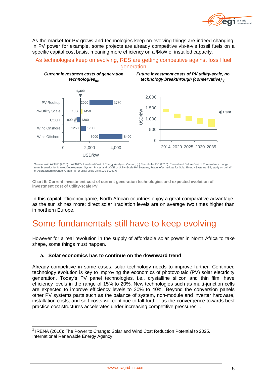

As the market for PV grows and technologies keep on evolving things are indeed changing. In PV power for example, some projects are already competitive vis-à-vis fossil fuels on a specific capital cost basis, meaning more efficiency on a \$/kW of installed capacity.

## As technologies keep on evolving, RES are getting competitive against fossil fuel generation



Source: (a) LAZARD (2016): LAZARD's Levelized Cost of Energy Analysis. Version; (b) Fraunhofer ISE (2015): Current and Future Cost of Photovoltaics. Long-<br>term Scenarios for Market Development, System Prices and LCOE of Ut of Agora Energiewende; Graph (a) for utility scale units 100-600 MW

**Chart 5: Current investment cost of current generation technologies and expected evolution of investment cost of utility-scale PV**

In this capital efficiency game, North African countries enjoy a great comparative advantage, as the sun shines more: direct solar irradiation levels are on average two times higher than in northern Europe.

## Some fundamentals still have to keep evolving

However for a real revolution in the supply of affordable solar power in North Africa to take shape, some things must happen.

### **a. Solar economics has to continue on the downward trend**

Already competitive in some cases, solar technology needs to improve further. Continued technology evolution is key to improving the economics of photovoltaic (PV) solar electricity generation. Today's PV panel technologies, i.e., crystalline silicon and thin film, have efficiency levels in the range of 15% to 20%. New technologies such as multi-junction cells are expected to improve efficiency levels to 30% to 40%. Beyond the conversion panels other PV systems parts such as the balance of system, non-module and inverter hardware, installation costs, and soft costs will continue to fall further as the convergence towards best practice cost structures accelerates under increasing competitive pressures<sup>2</sup>.

 2 IRENA (2016): The Power to Change: Solar and Wind Cost Reduction Potential to 2025. International Renewable Energy Agency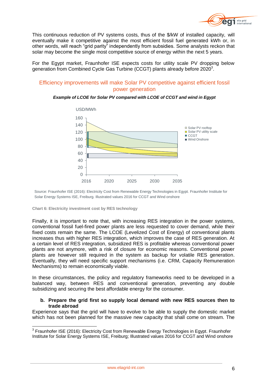

This continuous reduction of PV systems costs, thus of the \$/kW of installed capacity, will eventually make it competitive against the most efficient fossil fuel generated kWh or, in other words, will reach "grid parity" independently from subsidies. Some analysts reckon that solar may become the single most competitive source of energy within the next 5 years.

For the Egypt market, Fraunhofer ISE expects costs for utility scale PV dropping below generation from Combined Cycle Gas Turbine (CCGT) plants already before 2020 $^3$ .

## Efficiency improvements will make Solar PV competitive against efficient fossil power generation

#### *Example of LCOE for Solar PV compared with LCOE of CCGT and wind in Egypt*



Source: Fraunhofer ISE (2016): Electricity Cost from Renewable Energy Technologies in Egypt. Fraunhofer Institute for Solar Energy Systems ISE, Freiburg. Illustrated values 2016 for CCGT and Wind onshore

**Chart 6: Electricity investment cost by RES technology**

Finally, it is important to note that, with increasing RES integration in the power systems, conventional fossil fuel-fired power plants are less requested to cover demand, while their fixed costs remain the same. The LCOE (Levelized Cost of Energy) of conventional plants increases thus with higher RES integration, which improves the case of RES generation. At a certain level of RES integration, subsidized RES is profitable whereas conventional power plants are not anymore, with a risk of closure for economic reasons. Conventional power plants are however still required in the system as backup for volatile RES generation. Eventually, they will need specific support mechanisms (i.e. CRM, Capacity Remuneration Mechanisms) to remain economically viable.

In these circumstances, the policy and regulatory frameworks need to be developed in a balanced way, between RES and conventional generation, preventing any double subsidizing and securing the best affordable energy for the consumer.

#### **b. Prepare the grid first so supply local demand with new RES sources then to trade abroad**

Experience says that the grid will have to evolve to be able to supply the domestic market which has not been planned for the massive new capacity that shall come on stream. The

\_\_\_\_\_\_\_\_\_\_\_\_\_\_\_\_\_\_\_\_\_\_\_\_\_\_\_\_\_\_\_\_\_\_\_\_<br><sup>3</sup> Fraunhofer ISE (2016): Electricity Cost from Renewable Energy Technologies in Egypt. Fraunhofer Institute for Solar Energy Systems ISE, Freiburg; Illustrated values 2016 for CCGT and Wind onshore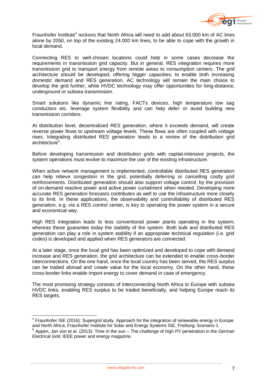

Fraunhofer Institute<sup>4</sup> reckons that North Africa will need to add about 63.000 km of AC lines alone by 2050, on top of the existing 24.000 km lines, to be able to cope with the growth in local demand.

Connecting RES to well-chosen locations could help in some cases decrease the requirements in transmission grid capacity. But in general, RES integration requires more transmission grid to transport energy from remote areas to consumption centers. The grid architecture should be developed, offering bigger capacities, to enable both increasing domestic demand and RES generation. AC technology will remain the main choice to develop the grid further, while HVDC technology may offer opportunities for long-distance, underground or subsea transmission.

Smart solutions like dynamic line rating, FACTs devices, high temperature low sag conductors etc. leverage system flexibility and can help defer or avoid building new transmission corridors.

At distribution level, decentralized RES generation, where it exceeds demand, will create reverse power flows to upstream voltage levels. These flows are often coupled with voltage rises. Integrating distributed RES generation leads to a review of the distribution grid architecture<sup>5</sup>.

Before developing transmission and distribution grids with capital-intensive projects, the system operations must evolve to maximize the use of the existing infrastructure.

When active network management is implemented, controllable distributed RES generation can help relieve congestion in the grid, potentially deferring or cancelling costly grid reinforcements. Distributed generation should also support voltage control, by the provision of on-demand reactive power and active power curtailment when needed. Developing more accurate RES generation forecasts contributes as well to use the infrastructure more closely to its limit. In these applications, the observability and controllability of distributed RES generation, e.g. via a RES control center, is key to operating the power system in a secure and economical way.

High RES integration leads to less conventional power plants operating in the system, whereas these guarantee today the stability of the system. Both bulk and distributed RES generation can play a role in system stability if an appropriate technical regulation (i.e. grid codes) is developed and applied when RES generators are connected.

At a later stage, once the local grid has been optimized and developed to cope with demand increase and RES generation, the grid architecture can be extended to enable cross-border interconnections. On the one hand, once the local country has been served, the RES surplus can be traded abroad and create value for the local economy. On the other hand, these cross-border links enable import energy to cover demand in case of emergency.

The most promising strategy consists of interconnecting North Africa to Europe with subsea HVDC links, enabling RES surplus to be traded beneficially, and helping Europe reach its RES targets.

 $\overline{a}$  $4$  Fraunhofer ISE (2016): Supergrid study. Approach for the integration of renewable energy in Europe and North Africa. Fraunhofer Institute for Solar and Energy Systems ISE, Freiburg; Scenario 1  $5$  Appen, Jan von et al. (2013): Time in the sun – The challenge of high PV penetration in the German Electrical Grid. IEEE power and energy magazine.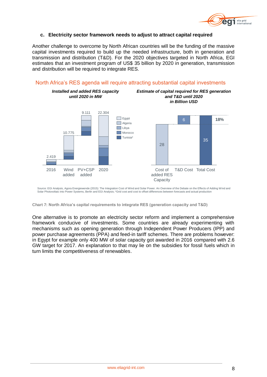

### **c. Electricity sector framework needs to adjust to attract capital required**

Another challenge to overcome by North African countries will be the funding of the massive capital investments required to build up the needed infrastructure, both in generation and transmission and distribution (T&D). For the 2020 objectives targeted in North Africa, EGI estimates that an investment program of US\$ 35 billion by 2020 in generation, transmission and distribution will be required to integrate RES.



## North Africa's RES agenda will require attracting substantial capital investments

Source: EGI Analysis, Agora Energiewende (2015): The Integration Cost of Wind and Solar Power. An Overview of the Debate on the Effects of Adding Wind and Solar Photovoltaic into Power Systems, Berlin and EGI Analysis; \*Grid cost and cost to offset differences between forecasts and actual production

**Chart 7: North Africa's capital requirements to integrate RES (generation capacity and T&D)**

One alternative is to promote an electricity sector reform and implement a comprehensive framework conducive of investments. Some countries are already experimenting with mechanisms such as opening generation through Independent Power Producers (IPP) and power purchase agreements (PPA) and feed-in tariff schemes. There are problems however: in Egypt for example only 400 MW of solar capacity got awarded in 2016 compared with 2.6 GW target for 2017. An explanation to that may lie on the subsidies for fossil fuels which in turn limits the competitiveness of renewables.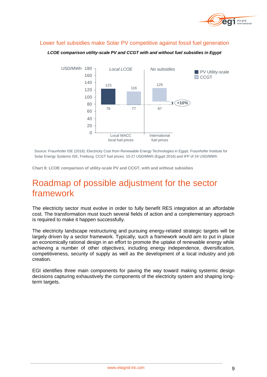

## Lower fuel subsidies make Solar PV competitive against fossil fuel generation



*LCOE comparison utility-scale PV and CCGT with and without fuel subsidies in Egypt*

Source: Fraunhofer ISE (2016): Electricity Cost from Renewable Energy Technologies in Egypt. Fraunhofer Institute for Solar Energy Systems ISE, Freiburg. CCGT fuel prices: 10-27 USD/MWh (Egypt 2016) and IFP of 24 USD/MWh

**Chart 8: LCOE comparison of utility-scale PV and CCGT, with and without subsidies**

## Roadmap of possible adjustment for the sector framework

The electricity sector must evolve in order to fully benefit RES integration at an affordable cost. The transformation must touch several fields of action and a complementary approach is required to make it happen successfully.

The electricity landscape restructuring and pursuing energy-related strategic targets will be largely driven by a sector framework. Typically, such a framework would aim to put in place an economically rational design in an effort to promote the uptake of renewable energy while achieving a number of other objectives, including energy independence, diversification, competitiveness, security of supply as well as the development of a local industry and job creation.

EGI identifies three main components for paving the way toward making systemic design decisions capturing exhaustively the components of the electricity system and shaping longterm targets.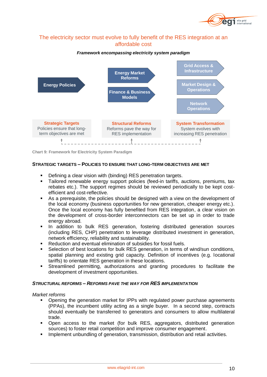

## The electricity sector must evolve to fully benefit of the RES integration at an affordable cost

### *Framework encompassing electricity system paradigm*



**Chart 9: Framework for Electricity System Paradigm**

### **STRATEGIC TARGETS – POLICIES TO ENSURE THAT LONG-TERM OBJECTIVES ARE MET**

- Defining a clear vision with (binding) RES penetration targets.
- Tailored renewable energy support policies (feed-in tariffs, auctions, premiums, tax rebates etc.). The support regimes should be reviewed periodically to be kept costefficient and cost-reflective.
- As a prerequisite, the policies should be designed with a view on the development of the local economy (business opportunities for new generation, cheaper energy etc.). Once the local economy has fully benefited from RES integration, a clear vision on the development of cross-border interconnectors can be set up in order to trade energy abroad.
- **In addition to bulk RES generation, fostering distributed generation sources** (including RES, CHP) penetration to leverage distributed investment in generation, network efficiency, reliability and sustainability.
- Reduction and eventual elimination of subsidies for fossil fuels.
- Selection of best locations for bulk RES generation, in terms of wind/sun conditions, spatial planning and existing grid capacity. Definition of incentives (e.g. locational tariffs) to orientate RES generation in these locations.
- Streamlined permitting, authorizations and granting procedures to facilitate the development of investment opportunities.

### *STRUCTURAL REFORMS – REFORMS PAVE THE WAY FOR RES IMPLEMENTATION*

*Market reforms*

- Opening the generation market for IPPs with regulated power purchase agreements (PPAs), the incumbent utility acting as a single buyer. In a second step, contracts should eventually be transferred to generators and consumers to allow multilateral trade.
- Open access to the market (for bulk RES, aggregators, distributed generation sources) to foster retail competition and improve consumer engagement.
- Implement unbundling of generation, transmission, distribution and retail activities.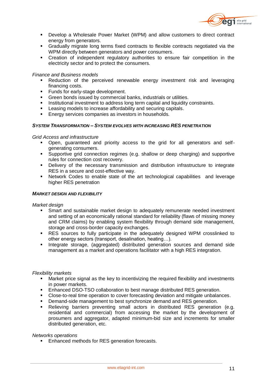

- Develop a Wholesale Power Market (WPM) and allow customers to direct contract energy from generators.
- Gradually migrate long terms fixed contracts to flexible contracts negotiated via the WPM directly between generators and power consumers.
- Creation of independent regulatory authorities to ensure fair competition in the electricity sector and to protect the consumers.

### *Finance and Business models*

- Reduction of the perceived renewable energy investment risk and leveraging financing costs.
- **Funds for early-stage development.**
- Green bonds issued by commercial banks, industrials or utilities.<br>
Institutional investment to address long term capital and liquidity
- Institutional investment to address long term capital and liquidity constraints.
- **EXEC** Leasing models to increase affordability and securing capitals.
- **Energy services companies as investors in households.**

#### *SYSTEM TRANSFORMATION – SYSTEM EVOLVES WITH INCREASING RES PENETRATION*

#### *Grid Access and infrastructure*

- Open, guaranteed and priority access to the grid for all generators and selfgenerating consumers.
- Supportive grid connection regimes (e.g. shallow or deep charging) and supportive rules for connection cost recovery.
- Delivery of the necessary transmission and distribution infrastructure to integrate RES in a secure and cost-effective way.
- Network Codes to enable state of the art technological capabilities and leverage higher RES penetration

#### *MARKET DESIGN AND FLEXIBILITY*

#### *Market design*

- Smart and sustainable market design to adequately remunerate needed investment and setting of an economically rational standard for reliability (flaws of missing money and CRM claims) by enabling system flexibility through demand side management, storage and cross-border capacity exchanges.
- RES sources to fully participate in the adequately designed WPM crosslinked to other energy sectors (transport, desalination, heating…).
- **Integrate storage, (aggregated) distributed generation sources and demand side** management as a market and operations facilitator with a high RES integration.

#### *Flexibility markets*

- Market price signal as the key to incentivizing the required flexibility and investments in power markets.
- Enhanced DSO-TSO collaboration to best manage distributed RES generation.
- Close-to-real time operation to cover forecasting deviation and mitigate unbalances.
- **Demand-side management to best synchronize demand and RES generation.**
- Relieving barriers preventing small actors in distributed RES generation (e.g. residential and commercial) from accessing the market by the development of prosumers and aggregator, adapted minimum-bid size and increments for smaller distributed generation, etc.

### *Networks operations*

Enhanced methods for RES generation forecasts.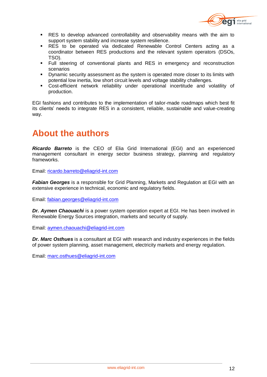

- RES to develop advanced controllability and observability means with the aim to support system stability and increase system resilience.
- RES to be operated via dedicated Renewable Control Centers acting as a coordinator between RES productions and the relevant system operators (DSOs, TSO).
- Full steering of conventional plants and RES in emergency and reconstruction scenarios
- **•** Dynamic security assessment as the system is operated more closer to its limits with potential low inertia, low short circuit levels and voltage stability challenges.
- Cost-efficient network reliability under operational incertitude and volatility of production.

EGI fashions and contributes to the implementation of tailor-made roadmaps which best fit its clients' needs to integrate RES in a consistent, reliable, sustainable and value-creating way.

## **About the authors**

*Ricardo Barreto* is the CEO of Elia Grid International (EGI) and an experienced management consultant in energy sector business strategy, planning and regulatory frameworks.

Email: [ricardo.barreto@eliagrid-int.com](mailto:ricardo.barreto@eliagrid-int.com)

**Fabian Georges** is a responsible for Grid Planning, Markets and Regulation at EGI with an extensive experience in technical, economic and regulatory fields.

Email: [fabian.georges@eliagrid-int.com](mailto:fabian.georges@eliagrid-int.com)

*Dr. Aymen Chaouachi* is a power system operation expert at EGI. He has been involved in Renewable Energy Sources integration, markets and security of supply.

Email: [aymen.chaouachi@eliagrid-int.com](mailto:aymen.chaouachi@eliagrid-int.com)

*Dr. Marc Osthues* is a consultant at EGI with research and industry experiences in the fields of power system planning, asset management, electricity markets and energy regulation.

Email: [marc.osthues@eliagrid-int.com](mailto:marc.osthues@eliagrid-int.com)